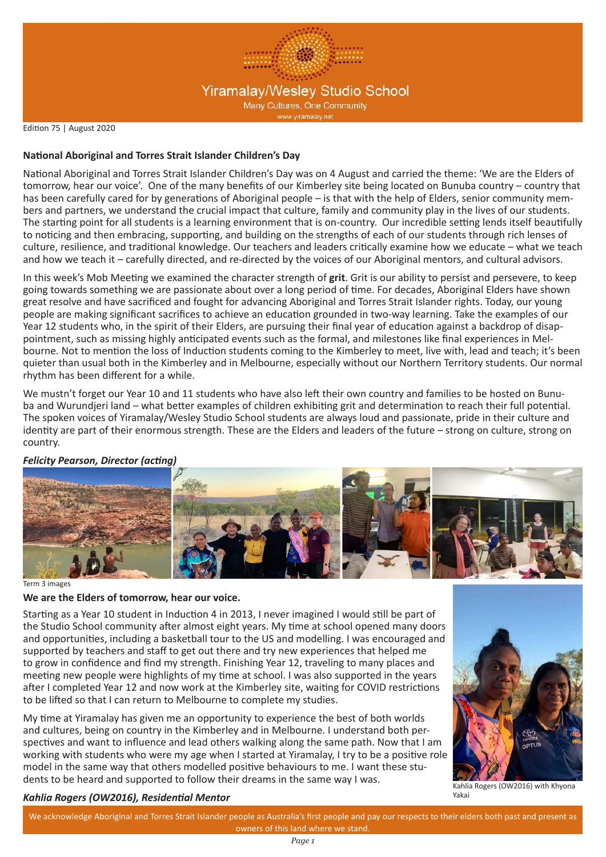

Edition 75 | August 2020

### **National Aboriginal and Torres Strait Islander Children's Day**

National Aboriginal and Torres Strait Islander Children's Day was on 4 August and carried the theme: 'We are the Elders of tomorrow, hear our voice'. One of the many benefits of our Kimberley site being located on Bunuba country – country that has been carefully cared for by generations of Aboriginal people – is that with the help of Elders, senior community members and partners, we understand the crucial impact that culture, family and community play in the lives of our students. The starting point for all students is a learning environment that is on-country. Our incredible setting lends itself beautifully to noticing and then embracing, supporting, and building on the strengths of each of our students through rich lenses of culture, resilience, and traditional knowledge. Our teachers and leaders critically examine how we educate – what we teach and how we teach it – carefully directed, and re-directed by the voices of our Aboriginal mentors, and cultural advisors.

In this week's Mob Meeting we examined the character strength of **grit**. Grit is our ability to persist and persevere, to keep going towards something we are passionate about over a long period of time. For decades, Aboriginal Elders have shown great resolve and have sacrificed and fought for advancing Aboriginal and Torres Strait Islander rights. Today, our young people are making significant sacrifices to achieve an education grounded in two-way learning. Take the examples of our Year 12 students who, in the spirit of their Elders, are pursuing their final year of education against a backdrop of disappointment, such as missing highly anticipated events such as the formal, and milestones like final experiences in Melbourne. Not to mention the loss of Induction students coming to the Kimberley to meet, live with, lead and teach; it's been quieter than usual both in the Kimberley and in Melbourne, especially without our Northern Territory students. Our normal rhythm has been different for a while.

We mustn't forget our Year 10 and 11 students who have also left their own country and families to be hosted on Bunuba and Wurundjeri land – what better examples of children exhibiting grit and determination to reach their full potential. The spoken voices of Yiramalay/Wesley Studio School students are always loud and passionate, pride in their culture and identity are part of their enormous strength. These are the Elders and leaders of the future – strong on culture, strong on country.

# *Felicity Pearson, Director (acting)*



#### Term 3 images

#### **We are the Elders of tomorrow, hear our voice.**

Starting as a Year 10 student in Induction 4 in 2013, I never imagined I would still be part of the Studio School community after almost eight years. My time at school opened many doors and opportunities, including a basketball tour to the US and modelling. I was encouraged and supported by teachers and staff to get out there and try new experiences that helped me to grow in confidence and find my strength. Finishing Year 12, traveling to many places and meeting new people were highlights of my time at school. I was also supported in the years after I completed Year 12 and now work at the Kimberley site, waiting for COVID restrictions to be lifted so that I can return to Melbourne to complete my studies.

My time at Yiramalay has given me an opportunity to experience the best of both worlds and cultures, being on country in the Kimberley and in Melbourne. I understand both perspectives and want to influence and lead others walking along the same path. Now that I am working with students who were my age when I started at Yiramalay, I try to be a positive role model in the same way that others modelled positive behaviours to me. I want these students to be heard and supported to follow their dreams in the same way I was.



Kahlia Rogers (OW2016) with Khyona Yakai

## *Kahlia Rogers (OW2016), Residential Mentor*

We acknowledge Aboriginal and Torres Strait Islander people as Australia's first people and pay our respects to their elders both past and present as owners of this land where we stand.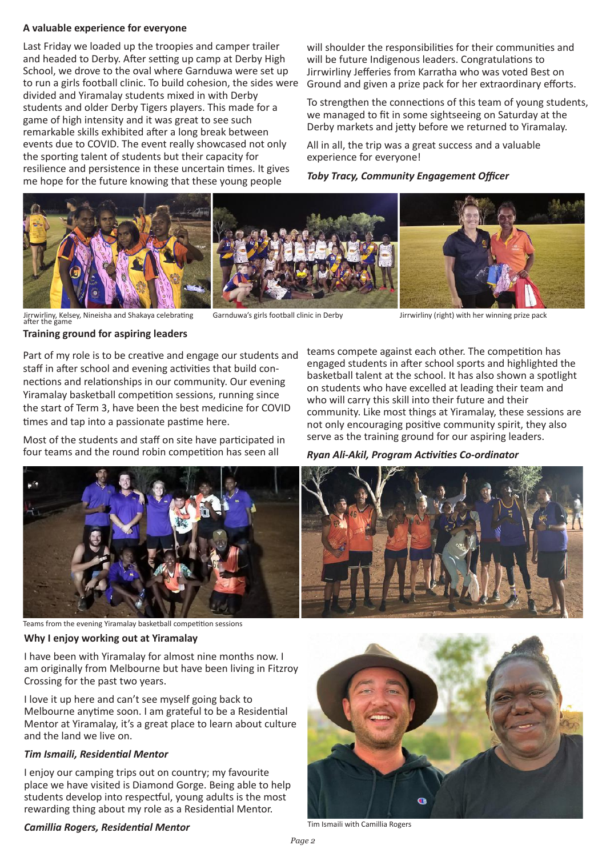#### **A valuable experience for everyone**

Last Friday we loaded up the troopies and camper trailer and headed to Derby. After setting up camp at Derby High School, we drove to the oval where Garnduwa were set up to run a girls football clinic. To build cohesion, the sides were divided and Yiramalay students mixed in with Derby students and older Derby Tigers players. This made for a game of high intensity and it was great to see such remarkable skills exhibited after a long break between events due to COVID. The event really showcased not only the sporting talent of students but their capacity for resilience and persistence in these uncertain times. It gives me hope for the future knowing that these young people

will shoulder the responsibilities for their communities and will be future Indigenous leaders. Congratulations to Jirrwirliny Jefferies from Karratha who was voted Best on Ground and given a prize pack for her extraordinary efforts.

To strengthen the connections of this team of young students, we managed to fit in some sightseeing on Saturday at the Derby markets and jetty before we returned to Yiramalay.

All in all, the trip was a great success and a valuable experience for everyone!

*Toby Tracy, Community Engagement Officer*



Jirrwirliny, Kelsey, Nineisha and Shakaya celebrating Garnduwa's girls football clinic in Derby Jirrwirliny (right) with her winning prize pack<br>after the game

**Training ground for aspiring leaders**

Part of my role is to be creative and engage our students and staff in after school and evening activities that build connections and relationships in our community. Our evening Yiramalay basketball competition sessions, running since the start of Term 3, have been the best medicine for COVID times and tap into a passionate pastime here.

Most of the students and staff on site have participated in four teams and the round robin competition has seen all

teams compete against each other. The competition has engaged students in after school sports and highlighted the basketball talent at the school. It has also shown a spotlight on students who have excelled at leading their team and who will carry this skill into their future and their community. Like most things at Yiramalay, these sessions are not only encouraging positive community spirit, they also serve as the training ground for our aspiring leaders.

*Ryan Ali-Akil, Program Activities Co-ordinator*



Teams from the evening Yiramalay basketball competition sessions

**Why I enjoy working out at Yiramalay**

I have been with Yiramalay for almost nine months now. I am originally from Melbourne but have been living in Fitzroy Crossing for the past two years.

I love it up here and can't see myself going back to Melbourne anytime soon. I am grateful to be a Residential Mentor at Yiramalay, it's a great place to learn about culture and the land we live on.

## *Tim Ismaili, Residential Mentor*

I enjoy our camping trips out on country; my favourite place we have visited is Diamond Gorge. Being able to help students develop into respectful, young adults is the most rewarding thing about my role as a Residential Mentor.

# **Camillia Rogers, Residential Mentor** Tim Ismaili with Camillia Rogers

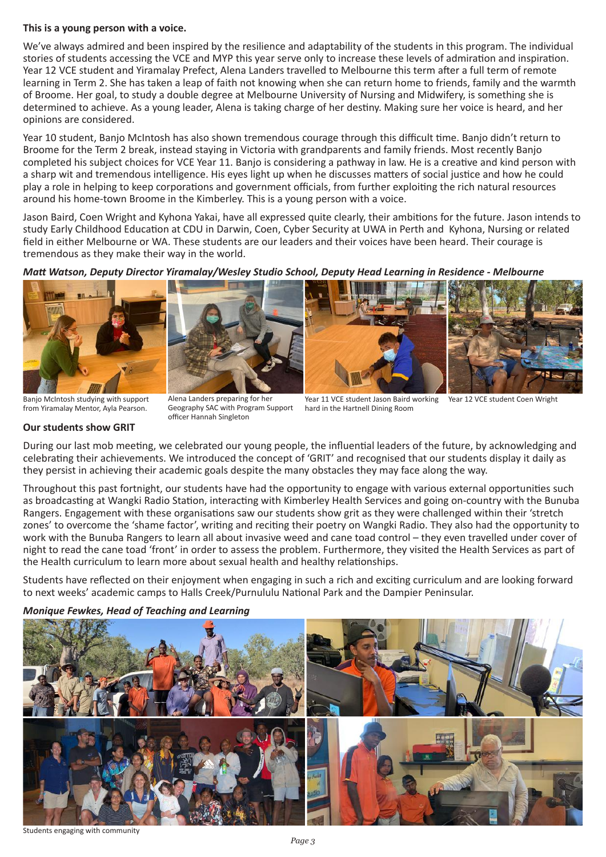### **This is a young person with a voice.**

We've always admired and been inspired by the resilience and adaptability of the students in this program. The individual stories of students accessing the VCE and MYP this year serve only to increase these levels of admiration and inspiration. Year 12 VCE student and Yiramalay Prefect, Alena Landers travelled to Melbourne this term after a full term of remote learning in Term 2. She has taken a leap of faith not knowing when she can return home to friends, family and the warmth of Broome. Her goal, to study a double degree at Melbourne University of Nursing and Midwifery, is something she is determined to achieve. As a young leader, Alena is taking charge of her destiny. Making sure her voice is heard, and her opinions are considered.

Year 10 student, Banjo McIntosh has also shown tremendous courage through this difficult time. Banjo didn't return to Broome for the Term 2 break, instead staying in Victoria with grandparents and family friends. Most recently Banjo completed his subject choices for VCE Year 11. Banjo is considering a pathway in law. He is a creative and kind person with a sharp wit and tremendous intelligence. His eyes light up when he discusses matters of social justice and how he could play a role in helping to keep corporations and government officials, from further exploiting the rich natural resources around his home-town Broome in the Kimberley. This is a young person with a voice.

Jason Baird, Coen Wright and Kyhona Yakai, have all expressed quite clearly, their ambitions for the future. Jason intends to study Early Childhood Education at CDU in Darwin, Coen, Cyber Security at UWA in Perth and Kyhona, Nursing or related field in either Melbourne or WA. These students are our leaders and their voices have been heard. Their courage is tremendous as they make their way in the world.

*Matt Watson, Deputy Director Yiramalay/Wesley Studio School, Deputy Head Learning in Residence - Melbourne* 







Banjo McIntosh studying with support from Yiramalay Mentor, Ayla Pearson.

Alena Landers preparing for her Geography SAC with Program Support officer Hannah Singleton

Year 11 VCE student Jason Baird working hard in the Hartnell Dining Room Year 12 VCE student Coen Wright

# **Our students show GRIT**

During our last mob meeting, we celebrated our young people, the influential leaders of the future, by acknowledging and celebrating their achievements. We introduced the concept of 'GRIT' and recognised that our students display it daily as they persist in achieving their academic goals despite the many obstacles they may face along the way.

Throughout this past fortnight, our students have had the opportunity to engage with various external opportunities such as broadcasting at Wangki Radio Station, interacting with Kimberley Health Services and going on-country with the Bunuba Rangers. Engagement with these organisations saw our students show grit as they were challenged within their 'stretch zones' to overcome the 'shame factor', writing and reciting their poetry on Wangki Radio. They also had the opportunity to work with the Bunuba Rangers to learn all about invasive weed and cane toad control – they even travelled under cover of night to read the cane toad 'front' in order to assess the problem. Furthermore, they visited the Health Services as part of the Health curriculum to learn more about sexual health and healthy relationships.

Students have reflected on their enjoyment when engaging in such a rich and exciting curriculum and are looking forward to next weeks' academic camps to Halls Creek/Purnululu National Park and the Dampier Peninsular.



*Monique Fewkes, Head of Teaching and Learning*